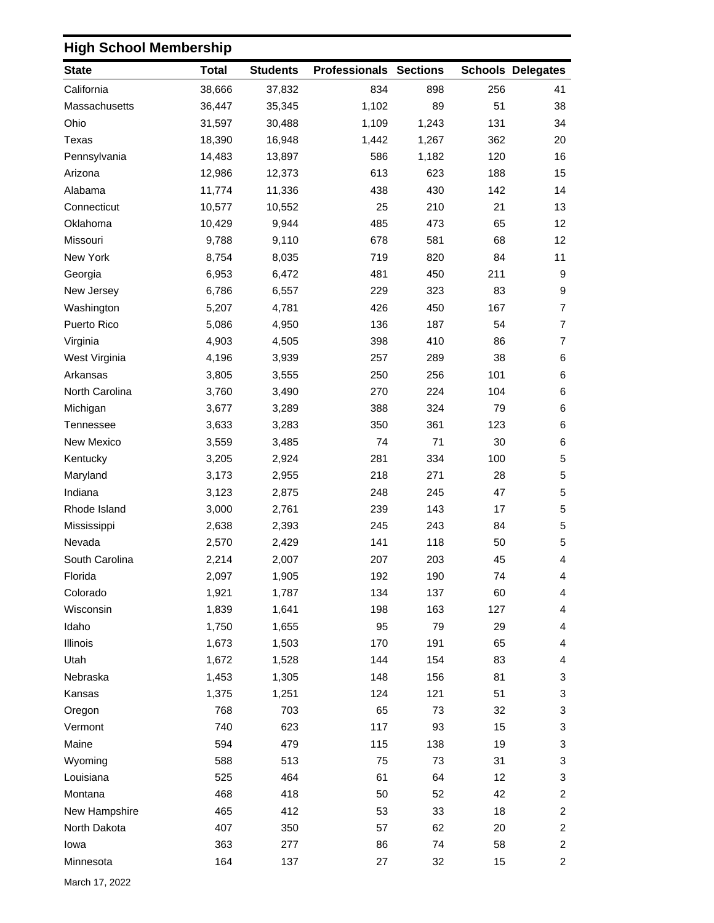## **High School Membership**

| <b>State</b>   | <b>Total</b> | <b>Students</b> | <b>Professionals Sections</b> |       |     | <b>Schools Delegates</b> |
|----------------|--------------|-----------------|-------------------------------|-------|-----|--------------------------|
| California     | 38,666       | 37,832          | 834                           | 898   | 256 | 41                       |
| Massachusetts  | 36,447       | 35,345          | 1,102                         | 89    | 51  | 38                       |
| Ohio           | 31,597       | 30,488          | 1,109                         | 1,243 | 131 | 34                       |
| Texas          | 18,390       | 16,948          | 1,442                         | 1,267 | 362 | 20                       |
| Pennsylvania   | 14,483       | 13,897          | 586                           | 1,182 | 120 | 16                       |
| Arizona        | 12,986       | 12,373          | 613                           | 623   | 188 | 15                       |
| Alabama        | 11,774       | 11,336          | 438                           | 430   | 142 | 14                       |
| Connecticut    | 10,577       | 10,552          | 25                            | 210   | 21  | 13                       |
| Oklahoma       | 10,429       | 9,944           | 485                           | 473   | 65  | 12 <sup>°</sup>          |
| Missouri       | 9,788        | 9,110           | 678                           | 581   | 68  | 12 <sub>2</sub>          |
| New York       | 8,754        | 8,035           | 719                           | 820   | 84  | 11                       |
| Georgia        | 6,953        | 6,472           | 481                           | 450   | 211 | 9                        |
| New Jersey     | 6,786        | 6,557           | 229                           | 323   | 83  | 9                        |
| Washington     | 5,207        | 4,781           | 426                           | 450   | 167 | $\overline{7}$           |
| Puerto Rico    | 5,086        | 4,950           | 136                           | 187   | 54  | $\overline{7}$           |
| Virginia       | 4,903        | 4,505           | 398                           | 410   | 86  | $\overline{7}$           |
| West Virginia  | 4,196        | 3,939           | 257                           | 289   | 38  | 6                        |
| Arkansas       | 3,805        | 3,555           | 250                           | 256   | 101 | 6                        |
| North Carolina | 3,760        | 3,490           | 270                           | 224   | 104 | 6                        |
| Michigan       | 3,677        | 3,289           | 388                           | 324   | 79  | 6                        |
| Tennessee      | 3,633        | 3,283           | 350                           | 361   | 123 | 6                        |
| New Mexico     | 3,559        | 3,485           | 74                            | 71    | 30  | 6                        |
| Kentucky       | 3,205        | 2,924           | 281                           | 334   | 100 | 5                        |
| Maryland       | 3,173        | 2,955           | 218                           | 271   | 28  | 5                        |
| Indiana        | 3,123        | 2,875           | 248                           | 245   | 47  | 5                        |
| Rhode Island   | 3,000        | 2,761           | 239                           | 143   | 17  | $\sqrt{5}$               |
| Mississippi    | 2,638        | 2,393           | 245                           | 243   | 84  | 5                        |
| Nevada         | 2,570        | 2,429           | 141                           | 118   | 50  | 5                        |
| South Carolina | 2,214        | 2,007           | 207                           | 203   | 45  | 4                        |
| Florida        | 2,097        | 1,905           | 192                           | 190   | 74  | 4                        |
| Colorado       | 1,921        | 1,787           | 134                           | 137   | 60  | 4                        |
| Wisconsin      | 1,839        | 1,641           | 198                           | 163   | 127 | 4                        |
| Idaho          | 1,750        | 1,655           | 95                            | 79    | 29  | 4                        |
| Illinois       | 1,673        | 1,503           | 170                           | 191   | 65  | 4                        |
| Utah           | 1,672        | 1,528           | 144                           | 154   | 83  | 4                        |
| Nebraska       | 1,453        | 1,305           | 148                           | 156   | 81  | 3                        |
| Kansas         | 1,375        | 1,251           | 124                           | 121   | 51  | 3                        |
| Oregon         | 768          | 703             | 65                            | 73    | 32  | 3                        |
| Vermont        | 740          | 623             | 117                           | 93    | 15  | 3                        |
| Maine          | 594          | 479             | 115                           | 138   | 19  | 3                        |
| Wyoming        | 588          | 513             | 75                            | 73    | 31  | 3                        |
| Louisiana      | 525          | 464             | 61                            | 64    | 12  | 3                        |
| Montana        | 468          | 418             | 50                            | 52    | 42  | $\overline{c}$           |
| New Hampshire  | 465          | 412             | 53                            | 33    | 18  | $\overline{a}$           |
| North Dakota   | 407          | 350             | 57                            | 62    | 20  | $\overline{c}$           |
| lowa           | 363          | 277             | 86                            | 74    | 58  | $\overline{a}$           |
| Minnesota      | 164          | 137             | 27                            | 32    | 15  | $\overline{a}$           |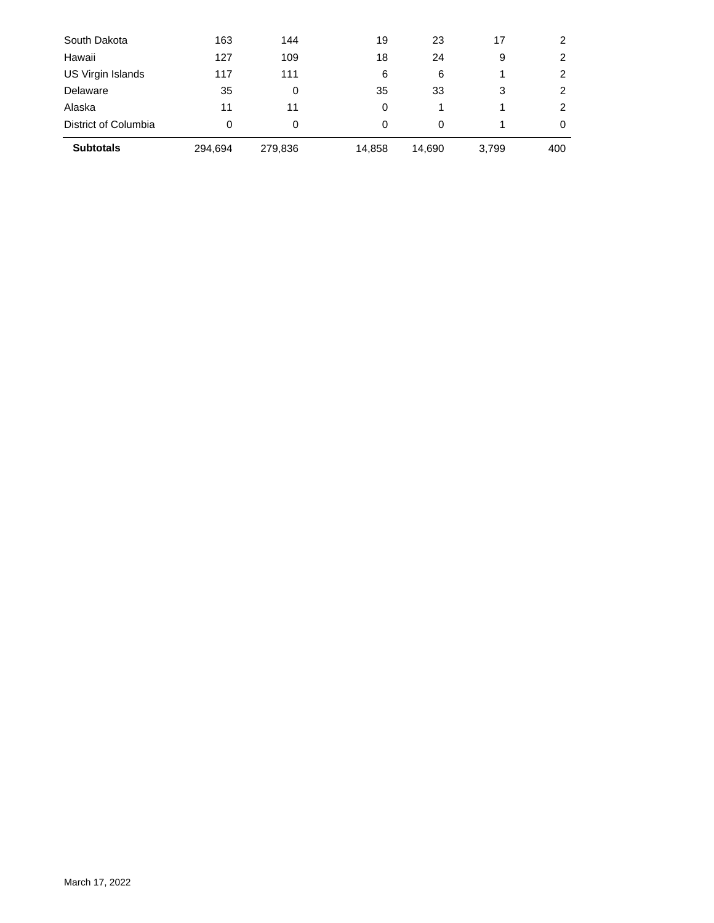| District of Columbia<br><b>Subtotals</b> | 0   | 0   | 0  | 0  |    | 0 |
|------------------------------------------|-----|-----|----|----|----|---|
| Alaska                                   | 11  | 11  | 0  |    |    | 2 |
| Delaware                                 | 35  | 0   | 35 | 33 | 3  | 2 |
| US Virgin Islands                        | 117 | 111 | 6  | 6  |    | 2 |
| Hawaii                                   | 127 | 109 | 18 | 24 | 9  | 2 |
| South Dakota                             | 163 | 144 | 19 | 23 | 17 |   |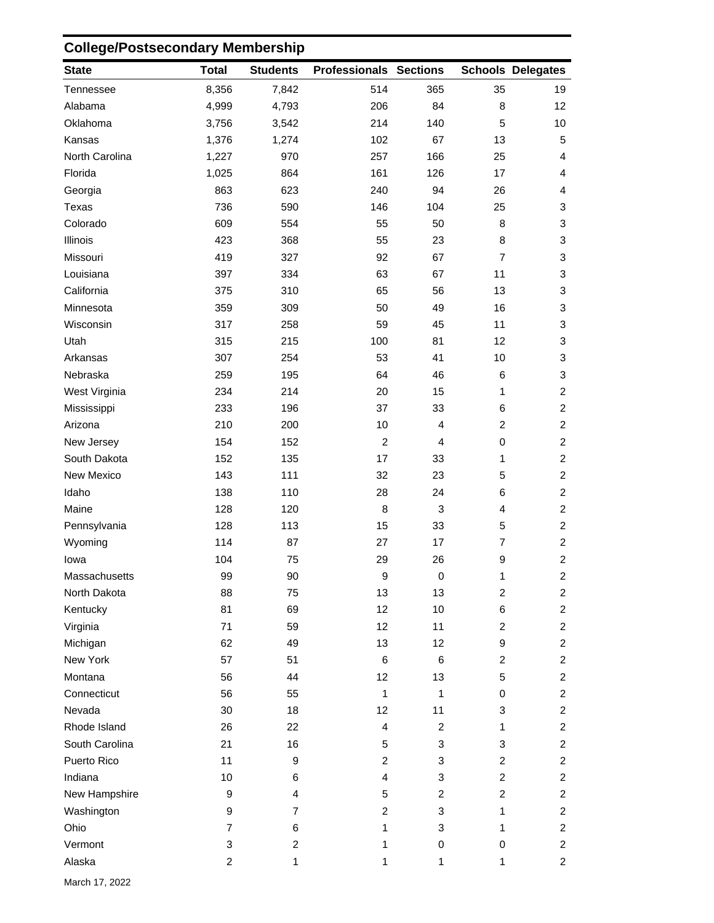## **College/Postsecondary Membership**

| <b>State</b>   | <b>Total</b>   | <b>Students</b>         | <b>Professionals Sections</b> |                |                | <b>Schools Delegates</b> |
|----------------|----------------|-------------------------|-------------------------------|----------------|----------------|--------------------------|
| Tennessee      | 8,356          | 7,842                   | 514                           | 365            | 35             | 19                       |
| Alabama        | 4,999          | 4,793                   | 206                           | 84             | 8              | 12 <sub>2</sub>          |
| Oklahoma       | 3,756          | 3,542                   | 214                           | 140            | 5              | 10                       |
| Kansas         | 1,376          | 1,274                   | 102                           | 67             | 13             | $\sqrt{5}$               |
| North Carolina | 1,227          | 970                     | 257                           | 166            | 25             | 4                        |
| Florida        | 1,025          | 864                     | 161                           | 126            | 17             | 4                        |
| Georgia        | 863            | 623                     | 240                           | 94             | 26             | 4                        |
| Texas          | 736            | 590                     | 146                           | 104            | 25             | 3                        |
| Colorado       | 609            | 554                     | 55                            | 50             | 8              | 3                        |
| Illinois       | 423            | 368                     | 55                            | 23             | 8              | 3                        |
| Missouri       | 419            | 327                     | 92                            | 67             | $\overline{7}$ | 3                        |
| Louisiana      | 397            | 334                     | 63                            | 67             | 11             | 3                        |
| California     | 375            | 310                     | 65                            | 56             | 13             | 3                        |
| Minnesota      | 359            | 309                     | 50                            | 49             | 16             | 3                        |
| Wisconsin      | 317            | 258                     | 59                            | 45             | 11             | 3                        |
| Utah           | 315            | 215                     | 100                           | 81             | 12             | 3                        |
| Arkansas       | 307            | 254                     | 53                            | 41             | 10             | 3                        |
| Nebraska       | 259            | 195                     | 64                            | 46             | 6              | 3                        |
| West Virginia  | 234            | 214                     | 20                            | 15             | 1              | $\overline{c}$           |
| Mississippi    | 233            | 196                     | 37                            | 33             | 6              | $\overline{c}$           |
| Arizona        | 210            | 200                     | 10                            | $\overline{4}$ | $\overline{c}$ | $\overline{c}$           |
| New Jersey     | 154            | 152                     | $\overline{2}$                | $\overline{4}$ | $\pmb{0}$      | $\overline{c}$           |
| South Dakota   | 152            | 135                     | 17                            | 33             | 1              | $\overline{a}$           |
| New Mexico     | 143            | 111                     | 32                            | 23             | 5              | $\overline{c}$           |
| Idaho          | 138            | 110                     | 28                            | 24             | 6              | $\overline{c}$           |
| Maine          | 128            | 120                     | 8                             | $\sqrt{3}$     | 4              | $\overline{c}$           |
| Pennsylvania   | 128            | 113                     | 15                            | 33             | 5              | $\overline{a}$           |
| Wyoming        | 114            | 87                      | 27                            | 17             | $\overline{7}$ | $\overline{a}$           |
| lowa           | 104            | 75                      | 29                            | 26             | 9              | $\overline{c}$           |
| Massachusetts  | 99             | 90                      | $\boldsymbol{9}$              | $\mathbf 0$    | 1              | $\overline{c}$           |
| North Dakota   | 88             | 75                      | 13                            | 13             | 2              | $\overline{a}$           |
| Kentucky       | 81             | 69                      | 12                            | 10             | 6              | $\overline{2}$           |
| Virginia       | 71             | 59                      | 12                            | 11             | $\overline{c}$ | $\overline{a}$           |
| Michigan       | 62             | 49                      | 13                            | 12             | 9              | $\overline{c}$           |
| New York       | 57             | 51                      | $\,6\,$                       | $\,6$          | $\overline{c}$ | $\overline{c}$           |
| Montana        | 56             | 44                      | 12                            | 13             | 5              | $\overline{a}$           |
| Connecticut    | 56             | 55                      | $\mathbf{1}$                  | $\mathbf{1}$   | 0              | $\overline{a}$           |
| Nevada         | 30             | 18                      | 12                            | 11             | 3              | $\overline{a}$           |
| Rhode Island   | 26             | 22                      | $\overline{4}$                | 2              | 1              | $\overline{c}$           |
| South Carolina | 21             | 16                      | 5                             | 3              | 3              | $\overline{c}$           |
| Puerto Rico    | 11             | 9                       | $\overline{2}$                | 3              | $\overline{c}$ | $\overline{a}$           |
| Indiana        | 10             | 6                       | $\overline{4}$                | 3              | 2              | $\overline{a}$           |
| New Hampshire  | 9              | 4                       | 5                             | $\overline{c}$ | $\overline{c}$ | $\overline{a}$           |
| Washington     | 9              | $\overline{7}$          | $\overline{2}$                | 3              | 1              | $\overline{a}$           |
| Ohio           | $\overline{7}$ | 6                       | 1                             | 3              | 1              | $\overline{2}$           |
| Vermont        | 3              | $\overline{\mathbf{c}}$ | 1                             | 0              | 0              | $\overline{a}$           |
| Alaska         | $\overline{c}$ | $\mathbf{1}$            | 1                             | 1              | 1              | $\overline{2}$           |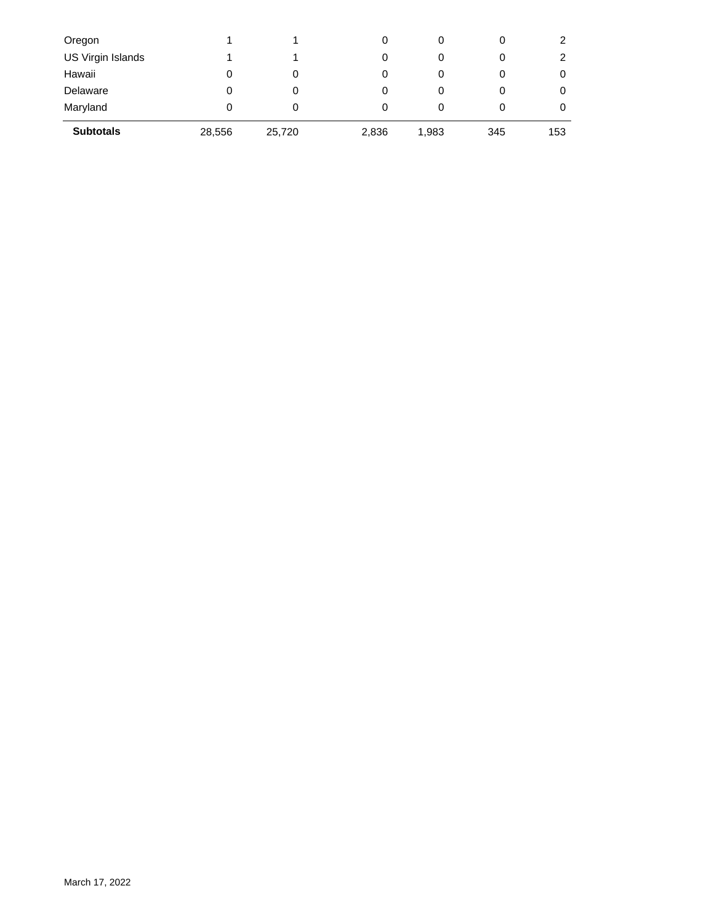| Oregon            |        |        | 0     | 0     | 0   |     |
|-------------------|--------|--------|-------|-------|-----|-----|
| US Virgin Islands |        |        | 0     | 0     | 0   | 2   |
| Hawaii            | 0      | 0      | 0     |       | 0   | 0   |
| Delaware          | 0      | 0      | 0     | 0     | 0   | 0   |
| Maryland          | 0      | 0      | 0     | 0     |     | O   |
| <b>Subtotals</b>  | 28,556 | 25,720 | 2,836 | 1,983 | 345 | 153 |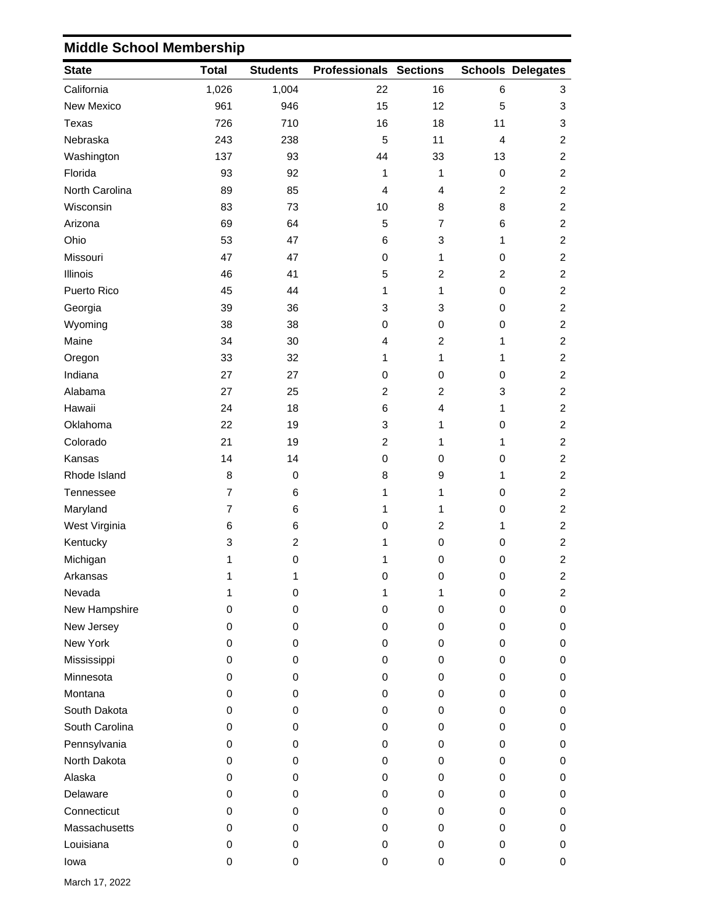## **State Total Students Professionals Sections Delegates Schools** California 1,026 1,004 22 16 6 3 New Mexico 961 946 15 12 5 3 Texas 726 710 16 18 11 3 Nebraska 243 238 5 11 4 2 Washington 137 93 44 33 13 2 Florida 93 92 1 1 0 2 North Carolina **89** 85 4 4 2 2 2 Wisconsin 83 73 10 8 8 2 Arizona 69 64 5 7 6 2 Ohio 53 47 6 3 1 2 Missouri 47 47 0 1 0 2 Illinois 46 41 5 2 2 2 Puerto Rico 45 44 1 1 0 2 Georgia 39 36 3 3 0 2 Wyoming 38 38 0 0 0 2 Maine 34 30 4 2 1 2 Oregon 33 32 1 1 1 2 Indiana 27 27 0 0 0 2 Alabama 27 25 2 2 3 2 Hawaii 24 18 6 4 1 2 Oklahoma 22 19 3 1 0 2 Colorado 21 19 2 1 1 2 Kansas 14 14 0 0 0 2 Rhode Island **8** 0 3 9 1 2 Tennessee 7 6 1 1 0 2 Maryland 7 6 1 1 0 2 West Virginia **6** 6 6 0 2 1 2 Kentucky 3 2 1 0 0 2 Michigan 1 0 1 0 0 2 Arkansas 1 1 0 0 0 2 Nevada 1 0 1 1 0 2 New Hampshire 0 0 0 0 0 0 New Jersey 0 0 0 0 0 0 New York 0 0 0 0 0 0 Mississippi 0 0 0 0 0 0 Minnesota 0 0 0 0 0 0 0 Montana 0 0 0 0 0 0 South Dakota **being the CO** or a control of the CO or a control of the CO or a control of the CO or a control of the CO or a control of the CO or a control of the CO or a control of the CO or a control of the CO or a contr South Carolina 0 0 0 0 0 0 Pennsylvania 0 0 0 0 0 0 North Dakota 0 0 0 0 0 0 Alaska 0 0 0 0 0 0 Delaware 0 0 0 0 0 0 Connecticut 0 0 0 0 0 0 Massachusetts 0 0 0 0 0 0 Louisiana 0 0 0 0 0 0 Iowa 0 0 0 0 0 0

## **Middle School Membership**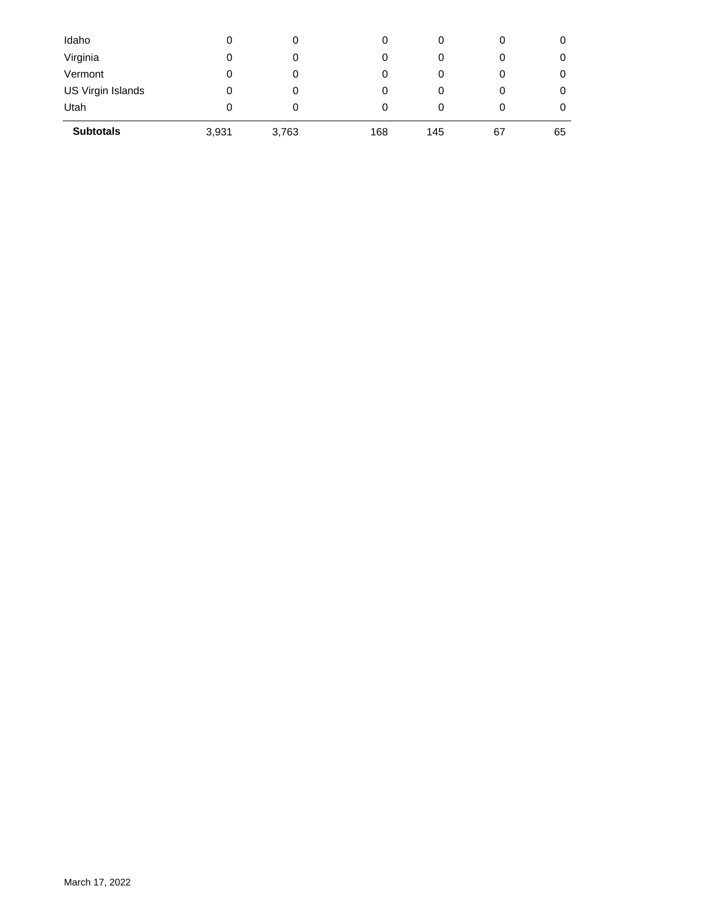| Idaho             | 0     | 0     | 0   | 0   |    |    |
|-------------------|-------|-------|-----|-----|----|----|
| Virginia          | 0     | 0     | 0   | 0   | 0  | O  |
| Vermont           | 0     | 0     | 0   | 0   |    | 0  |
| US Virgin Islands | 0     | 0     | 0   | 0   | 0  | O  |
| Utah              | 0     | 0     | 0   | 0   |    | O  |
| <b>Subtotals</b>  | 3,931 | 3,763 | 168 | 145 | 67 | 65 |